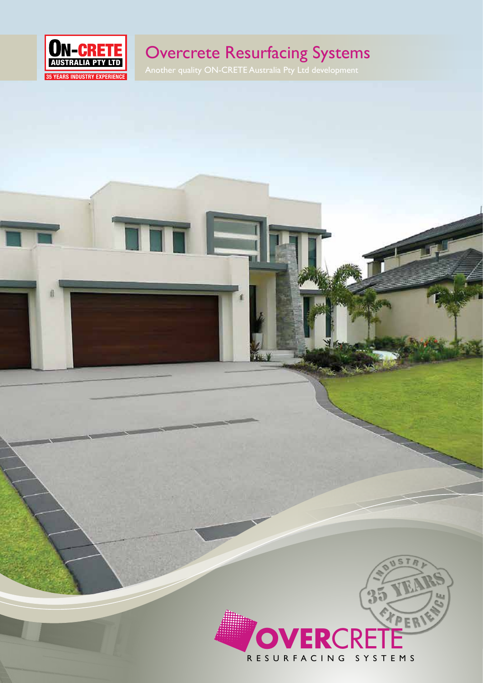

# Overcrete Resurfacing Systems

TTT E

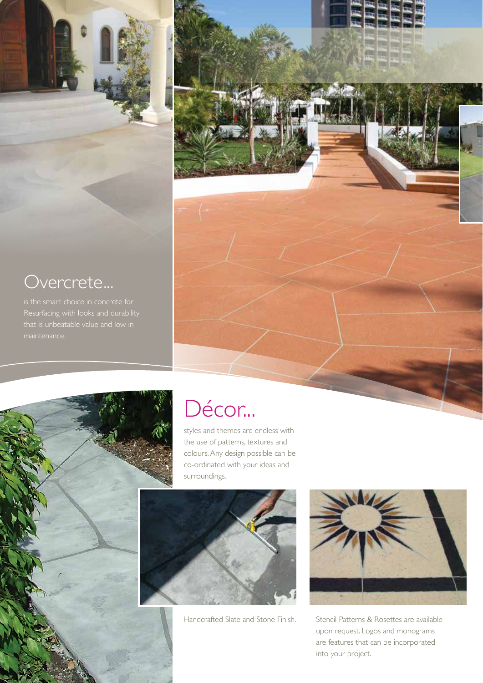



styles and themes are endless with the use of patterns, textures and colours. Any design possible can be co-ordinated with your ideas and surroundings.



Handcrafted Slate and Stone Finish.



Stencil Patterns & Rosettes are available upon request. Logos and monograms are features that can be incorporated into your project.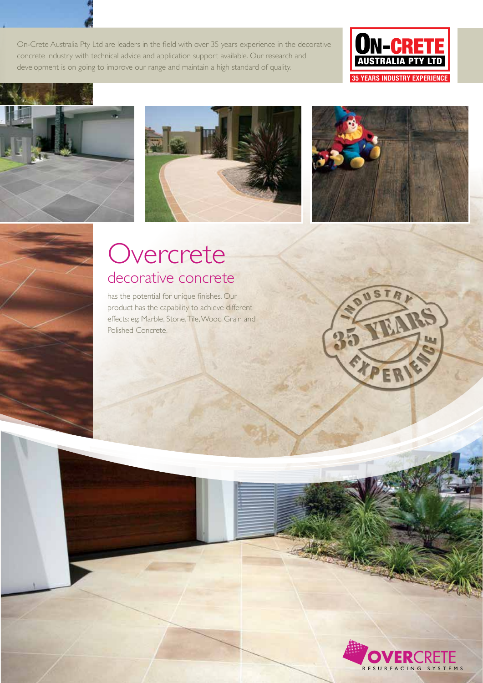On-Crete Australia Pty Ltd are leaders in the field with over 35 years experience in the decorative concrete industry with technical advice and application support available. Our research and development is on going to improve our range and maintain a high standard of quality.









# **Overcrete** decorative concrete

has the potential for unique finishes. Our product has the capability to achieve different effects: eg; Marble, Stone, Tile, Wood Grain and Polished Concrete.